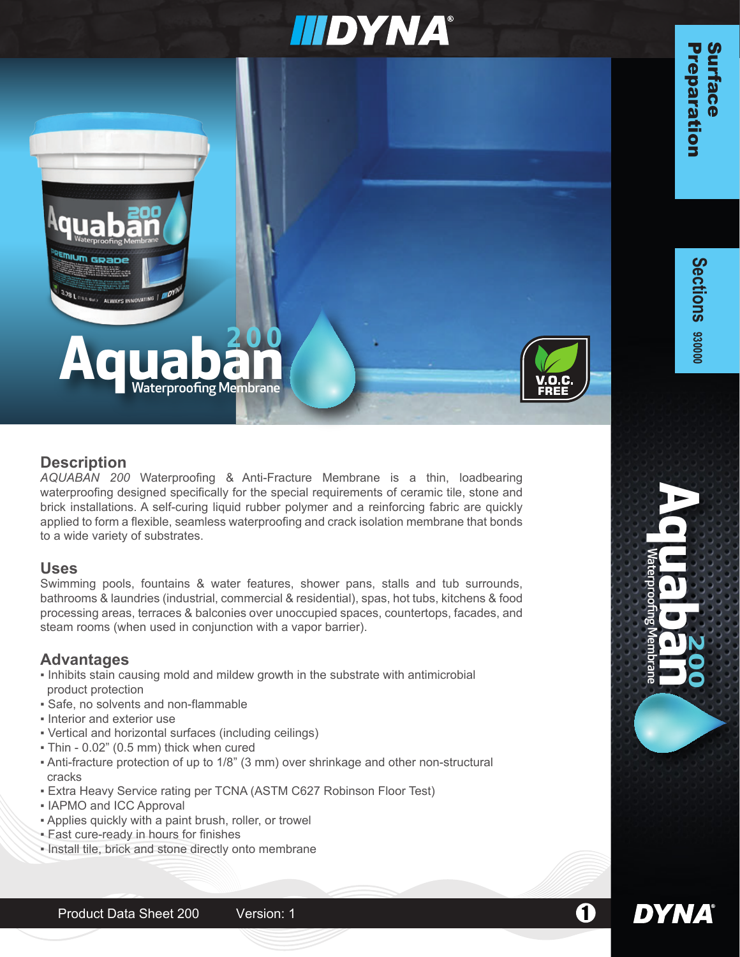# **IIIDYNA®**





*AQUABAN 200* Waterproofing & Anti-Fracture Membrane is a thin, loadbearing waterproofing designed specifically for the special requirements of ceramic tile, stone and brick installations. A self-curing liquid rubber polymer and a reinforcing fabric are quickly applied to form a flexible, seamless waterproofing and crack isolation membrane that bonds to a wide variety of substrates.

## **Uses**

Swimming pools, fountains & water features, shower pans, stalls and tub surrounds, bathrooms & laundries (industrial, commercial & residential), spas, hot tubs, kitchens & food processing areas, terraces & balconies over unoccupied spaces, countertops, facades, and steam rooms (when used in conjunction with a vapor barrier).

## **Advantages**

- Inhibits stain causing mold and mildew growth in the substrate with antimicrobial product protection
- Safe, no solvents and non-flammable
- Interior and exterior use
- Vertical and horizontal surfaces (including ceilings)
- Thin 0.02" (0.5 mm) thick when cured
- Anti-fracture protection of up to 1/8" (3 mm) over shrinkage and other non-structural cracks
- **Extra Heavy Service rating per TCNA (ASTM C627 Robinson Floor Test)**
- **. IAPMO and ICC Approval**
- Applies quickly with a paint brush, roller, or trowel
- Fast cure-ready in hours for finishes
- Install tile, brick and stone directly onto membrane

**ACCES**<br>**ACCES**<br>Materproofing Membrane

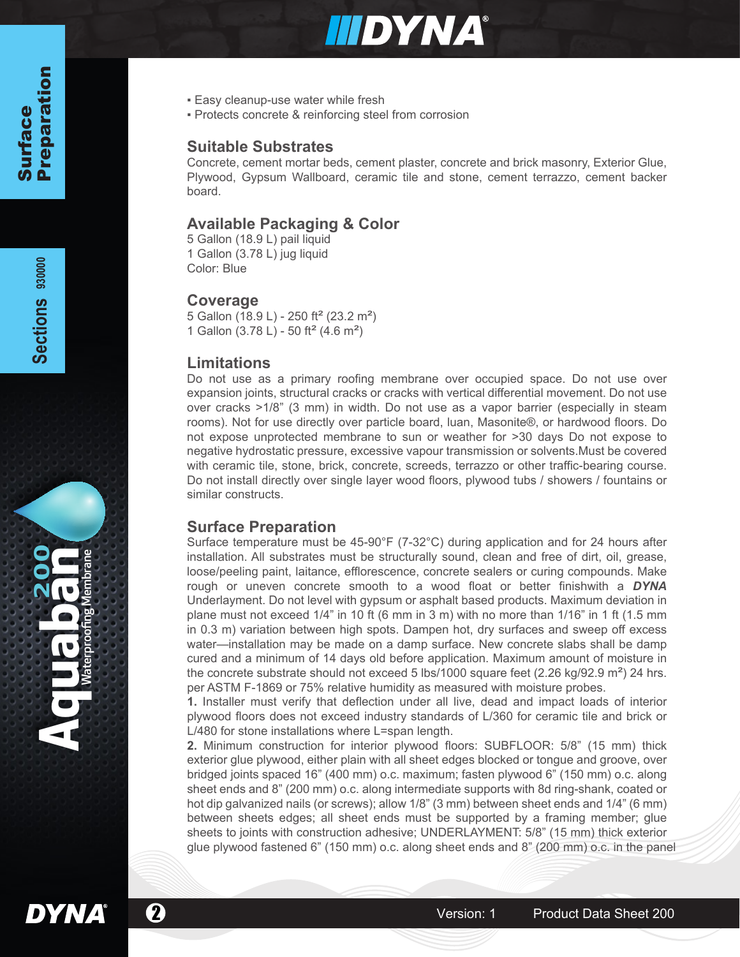

- **Easy cleanup-use water while fresh**
- Protects concrete & reinforcing steel from corrosion

#### **Suitable Substrates**

Concrete, cement mortar beds, cement plaster, concrete and brick masonry, Exterior Glue, Plywood, Gypsum Wallboard, ceramic tile and stone, cement terrazzo, cement backer board.

### **Available Packaging & Color**

5 Gallon (18.9 L) pail liquid 1 Gallon (3.78 L) jug liquid Color: Blue

#### **Coverage**

5 Gallon (18.9 L) - 250 ft<sup>2</sup> (23.2 m<sup>2</sup>) 1 Gallon (3.78 L) - 50 ft<sup>2</sup> (4.6 m<sup>2</sup>)

#### **Limitations**

Do not use as a primary roofing membrane over occupied space. Do not use over expansion joints, structural cracks or cracks with vertical differential movement. Do not use over cracks >1/8" (3 mm) in width. Do not use as a vapor barrier (especially in steam rooms). Not for use directly over particle board, luan, Masonite®, or hardwood floors. Do not expose unprotected membrane to sun or weather for >30 days Do not expose to negative hydrostatic pressure, excessive vapour transmission or solvents.Must be covered with ceramic tile, stone, brick, concrete, screeds, terrazzo or other traffic-bearing course. Do not install directly over single layer wood floors, plywood tubs / showers / fountains or similar constructs.

#### **Surface Preparation**

Surface temperature must be 45-90°F (7-32°C) during application and for 24 hours after installation. All substrates must be structurally sound, clean and free of dirt, oil, grease, loose/peeling paint, laitance, efflorescence, concrete sealers or curing compounds. Make rough or uneven concrete smooth to a wood float or better finishwith a *DYNA* Underlayment. Do not level with gypsum or asphalt based products. Maximum deviation in plane must not exceed 1/4" in 10 ft (6 mm in 3 m) with no more than 1/16" in 1 ft (1.5 mm in 0.3 m) variation between high spots. Dampen hot, dry surfaces and sweep off excess water—installation may be made on a damp surface. New concrete slabs shall be damp cured and a minimum of 14 days old before application. Maximum amount of moisture in the concrete substrate should not exceed 5 lbs/1000 square feet (2.26 kg/92.9  $\text{m}^2$ ) 24 hrs. per ASTM F-1869 or 75% relative humidity as measured with moisture probes.

**1.** Installer must verify that deflection under all live, dead and impact loads of interior plywood floors does not exceed industry standards of L/360 for ceramic tile and brick or L/480 for stone installations where L=span length.

**2.** Minimum construction for interior plywood floors: SUBFLOOR: 5/8" (15 mm) thick exterior glue plywood, either plain with all sheet edges blocked or tongue and groove, over bridged joints spaced 16" (400 mm) o.c. maximum; fasten plywood 6" (150 mm) o.c. along sheet ends and 8" (200 mm) o.c. along intermediate supports with 8d ring-shank, coated or hot dip galvanized nails (or screws); allow 1/8" (3 mm) between sheet ends and 1/4" (6 mm) between sheets edges; all sheet ends must be supported by a framing member; glue sheets to joints with construction adhesive; UNDERLAYMENT: 5/8" (15 mm) thick exterior glue plywood fastened 6" (150 mm) o.c. along sheet ends and 8" (200 mm) o.c. in the panel

**DYNA** 

**200 Aquaban** Waterproofing Membrane

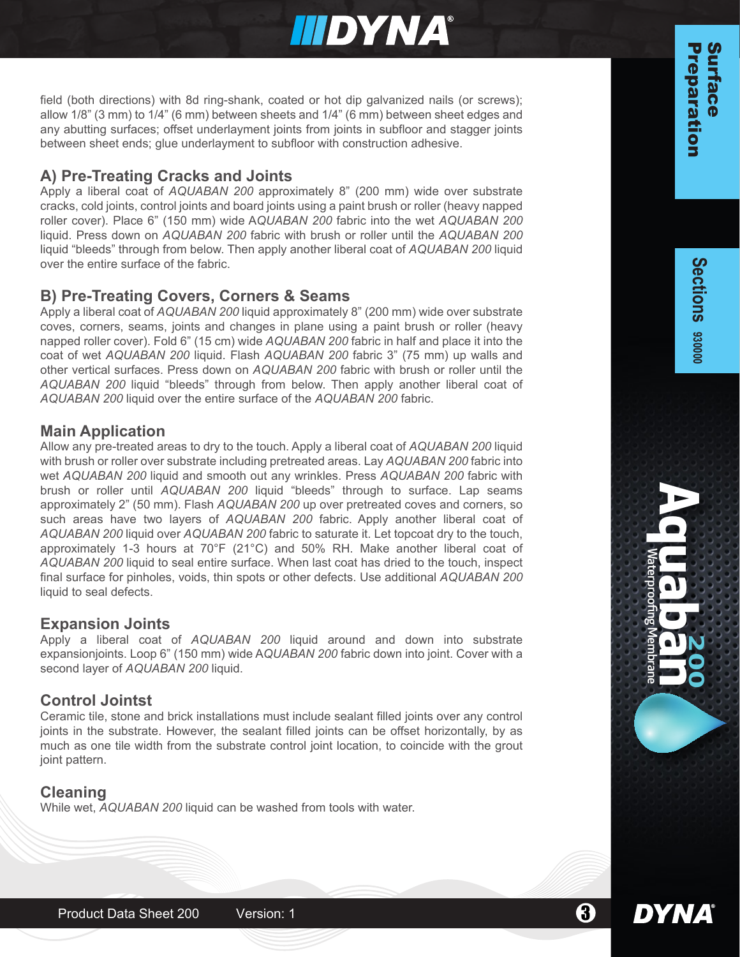

field (both directions) with 8d ring-shank, coated or hot dip galvanized nails (or screws); allow 1/8" (3 mm) to 1/4" (6 mm) between sheets and 1/4" (6 mm) between sheet edges and any abutting surfaces; offset underlayment joints from joints in subfloor and stagger joints between sheet ends; glue underlayment to subfloor with construction adhesive.

## **A) Pre-Treating Cracks and Joints**

Apply a liberal coat of *AQUABAN 200* approximately 8" (200 mm) wide over substrate cracks, cold joints, control joints and board joints using a paint brush or roller (heavy napped roller cover). Place 6" (150 mm) wide A*QUABAN 200* fabric into the wet *AQUABAN 200* liquid. Press down on *AQUABAN 200* fabric with brush or roller until the *AQUABAN 200* liquid "bleeds" through from below. Then apply another liberal coat of *AQUABAN 200* liquid over the entire surface of the fabric.

## **B) Pre-Treating Covers, Corners & Seams**

Apply a liberal coat of *AQUABAN 200* liquid approximately 8" (200 mm) wide over substrate coves, corners, seams, joints and changes in plane using a paint brush or roller (heavy napped roller cover). Fold 6" (15 cm) wide *AQUABAN 200* fabric in half and place it into the coat of wet *AQUABAN 200* liquid. Flash *AQUABAN 200* fabric 3" (75 mm) up walls and other vertical surfaces. Press down on *AQUABAN 200* fabric with brush or roller until the *AQUABAN 200* liquid "bleeds" through from below. Then apply another liberal coat of *AQUABAN 200* liquid over the entire surface of the *AQUABAN 200* fabric.

## **Main Application**

Allow any pre-treated areas to dry to the touch. Apply a liberal coat of *AQUABAN 200* liquid with brush or roller over substrate including pretreated areas. Lay *AQUABAN 200* fabric into wet *AQUABAN 200* liquid and smooth out any wrinkles. Press *AQUABAN 200* fabric with brush or roller until *AQUABAN 200* liquid "bleeds" through to surface. Lap seams approximately 2" (50 mm). Flash *AQUABAN 200* up over pretreated coves and corners, so such areas have two layers of *AQUABAN 200* fabric. Apply another liberal coat of *AQUABAN 200* liquid over *AQUABAN 200* fabric to saturate it. Let topcoat dry to the touch, approximately 1-3 hours at 70°F (21°C) and 50% RH. Make another liberal coat of *AQUABAN 200* liquid to seal entire surface. When last coat has dried to the touch, inspect final surface for pinholes, voids, thin spots or other defects. Use additional *AQUABAN 200* liquid to seal defects.

#### **Expansion Joints**

Apply a liberal coat of *AQUABAN 200* liquid around and down into substrate expansionjoints. Loop 6" (150 mm) wide A*QUABAN 200* fabric down into joint. Cover with a second layer of *AQUABAN 200* liquid.

## **Control Jointst**

Ceramic tile, stone and brick installations must include sealant filled joints over any control joints in the substrate. However, the sealant filled joints can be offset horizontally, by as much as one tile width from the substrate control joint location, to coincide with the grout joint pattern.

## **Cleaning**

While wet, *AQUABAN 200* liquid can be washed from tools with water.